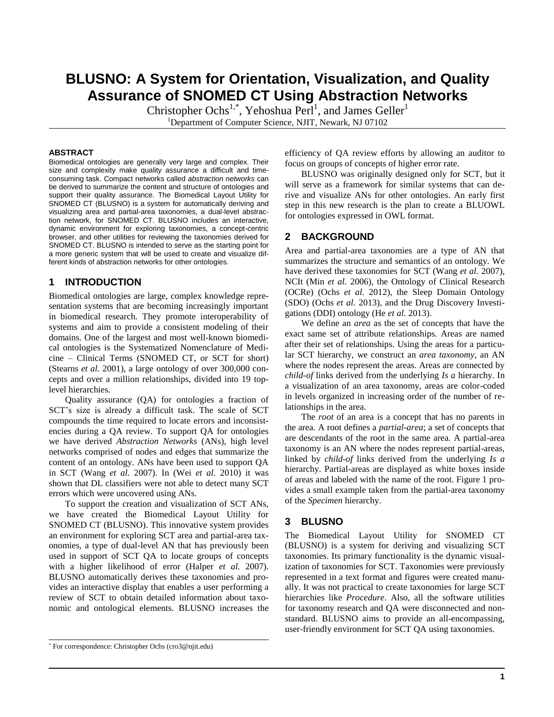# **BLUSNO: A System for Orientation, Visualization, and Quality Assurance of SNOMED CT Using Abstraction Networks**

Christopher Ochs<sup>1,\*</sup>, Yehoshua Perl<sup>1</sup>, and James Geller<sup>1</sup> <sup>1</sup>Department of Computer Science, NJIT, Newark, NJ 07102

#### **ABSTRACT**

Biomedical ontologies are generally very large and complex. Their size and complexity make quality assurance a difficult and timeconsuming task. Compact networks called *abstraction networks* can be derived to summarize the content and structure of ontologies and support their quality assurance. The Biomedical Layout Utility for SNOMED CT (BLUSNO) is a system for automatically deriving and visualizing area and partial-area taxonomies, a dual-level abstraction network, for SNOMED CT. BLUSNO includes an interactive, dynamic environment for exploring taxonomies, a concept-centric browser, and other utilities for reviewing the taxonomies derived for SNOMED CT. BLUSNO is intended to serve as the starting point for a more generic system that will be used to create and visualize different kinds of abstraction networks for other ontologies.

### **1 INTRODUCTION**

Biomedical ontologies are large, complex knowledge representation systems that are becoming increasingly important in biomedical research. They promote interoperability of systems and aim to provide a consistent modeling of their domains. One of the largest and most well-known biomedical ontologies is the Systematized Nomenclature of Medicine – Clinical Terms (SNOMED CT, or SCT for short) [\(Stearns](#page-1-0) *et al.* 2001), a large ontology of over 300,000 concepts and over a million relationships, divided into 19 toplevel hierarchies.

Quality assurance (QA) for ontologies a fraction of SCT's size is already a difficult task. The scale of SCT compounds the time required to locate errors and inconsistencies during a QA review. To support QA for ontologies we have derived *Abstraction Networks* (ANs), high level networks comprised of nodes and edges that summarize the content of an ontology. ANs have been used to support QA in SCT [\(Wang](#page-1-1) *et al.* 2007). In (Wei *[et al.](#page-1-2)* 2010) it was shown that DL classifiers were not able to detect many SCT errors which were uncovered using ANs.

To support the creation and visualization of SCT ANs, we have created the Biomedical Layout Utility for SNOMED CT (BLUSNO). This innovative system provides an environment for exploring SCT area and partial-area taxonomies, a type of dual-level AN that has previously been used in support of SCT QA to locate groups of concepts with a higher likelihood of error [\(Halper](#page-1-3) *et al.* 2007). BLUSNO automatically derives these taxonomies and provides an interactive display that enables a user performing a review of SCT to obtain detailed information about taxonomic and ontological elements. BLUSNO increases the efficiency of QA review efforts by allowing an auditor to focus on groups of concepts of higher error rate.

BLUSNO was originally designed only for SCT, but it will serve as a framework for similar systems that can derive and visualize ANs for other ontologies. An early first step in this new research is the plan to create a BLUOWL for ontologies expressed in OWL format.

#### **2 BACKGROUND**

Area and partial-area taxonomies are a type of AN that summarizes the structure and semantics of an ontology. We have derived these taxonomies for SCT [\(Wang](#page-1-1) *et al.* 2007), NCIt (Min *et al.* [2006\)](#page-1-4), the Ontology of Clinical Research (OCRe) [\(Ochs](#page-1-5) *et al.* 2012), the Sleep Domain Ontology (SDO) [\(Ochs](#page-1-6) *et al.* 2013), and the Drug Discovery Investigations (DDI) ontology (He *et al.* [2013\)](#page-1-7).

We define an *area* as the set of concepts that have the exact same set of attribute relationships. Areas are named after their set of relationships. Using the areas for a particular SCT hierarchy, we construct an *area taxonomy*, an AN where the nodes represent the areas. Areas are connected by *child-of* links derived from the underlying *Is a* hierarchy. In a visualization of an area taxonomy, areas are color-coded in levels organized in increasing order of the number of relationships in the area.

The *root* of an area is a concept that has no parents in the area. A root defines a *partial-area*; a set of concepts that are descendants of the root in the same area. A partial-area taxonomy is an AN where the nodes represent partial-areas, linked by *child-of* links derived from the underlying *Is a* hierarchy. Partial-areas are displayed as white boxes inside of areas and labeled with the name of the root. Figure 1 provides a small example taken from the partial-area taxonomy of the *Specimen* hierarchy.

### **3 BLUSNO**

The Biomedical Layout Utility for SNOMED CT (BLUSNO) is a system for deriving and visualizing SCT taxonomies. Its primary functionality is the dynamic visualization of taxonomies for SCT. Taxonomies were previously represented in a text format and figures were created manually. It was not practical to create taxonomies for large SCT hierarchies like *Procedure*. Also, all the software utilities for taxonomy research and QA were disconnected and nonstandard. BLUSNO aims to provide an all-encompassing, user-friendly environment for SCT QA using taxonomies.

<sup>\*</sup> For correspondence: Christopher Ochs (cro3@njit.edu)